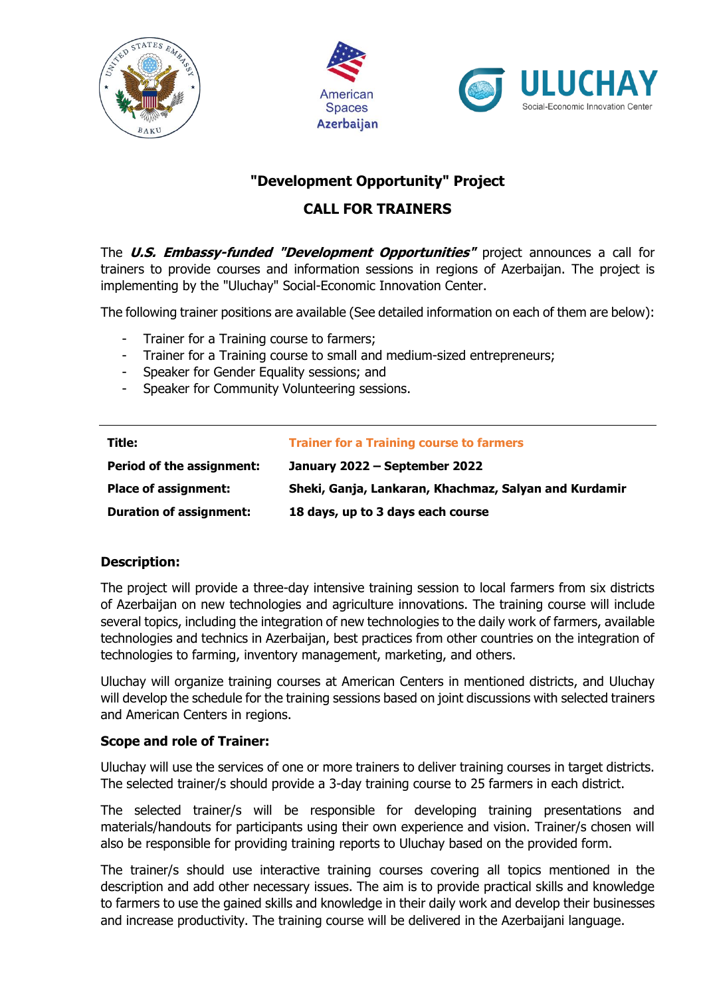





# **"Development Opportunity" Project**

## **CALL FOR TRAINERS**

The **U.S. Embassy-funded "Development Opportunities"** project announces a call for trainers to provide courses and information sessions in regions of Azerbaijan. The project is implementing by the "Uluchay" Social-Economic Innovation Center.

The following trainer positions are available (See detailed information on each of them are below):

- Trainer for a Training course to farmers;
- Trainer for a Training course to small and medium-sized entrepreneurs;
- Speaker for Gender Equality sessions; and
- Speaker for Community Volunteering sessions.

| Title:                           | <b>Trainer for a Training course to farmers</b>       |
|----------------------------------|-------------------------------------------------------|
| <b>Period of the assignment:</b> | January 2022 – September 2022                         |
| <b>Place of assignment:</b>      | Sheki, Ganja, Lankaran, Khachmaz, Salyan and Kurdamir |
| <b>Duration of assignment:</b>   | 18 days, up to 3 days each course                     |

## **Description:**

The project will provide a three-day intensive training session to local farmers from six districts of Azerbaijan on new technologies and agriculture innovations. The training course will include several topics, including the integration of new technologies to the daily work of farmers, available technologies and technics in Azerbaijan, best practices from other countries on the integration of technologies to farming, inventory management, marketing, and others.

Uluchay will organize training courses at American Centers in mentioned districts, and Uluchay will develop the schedule for the training sessions based on joint discussions with selected trainers and American Centers in regions.

## **Scope and role of Trainer:**

Uluchay will use the services of one or more trainers to deliver training courses in target districts. The selected trainer/s should provide a 3-day training course to 25 farmers in each district.

The selected trainer/s will be responsible for developing training presentations and materials/handouts for participants using their own experience and vision. Trainer/s chosen will also be responsible for providing training reports to Uluchay based on the provided form.

The trainer/s should use interactive training courses covering all topics mentioned in the description and add other necessary issues. The aim is to provide practical skills and knowledge to farmers to use the gained skills and knowledge in their daily work and develop their businesses and increase productivity. The training course will be delivered in the Azerbaijani language.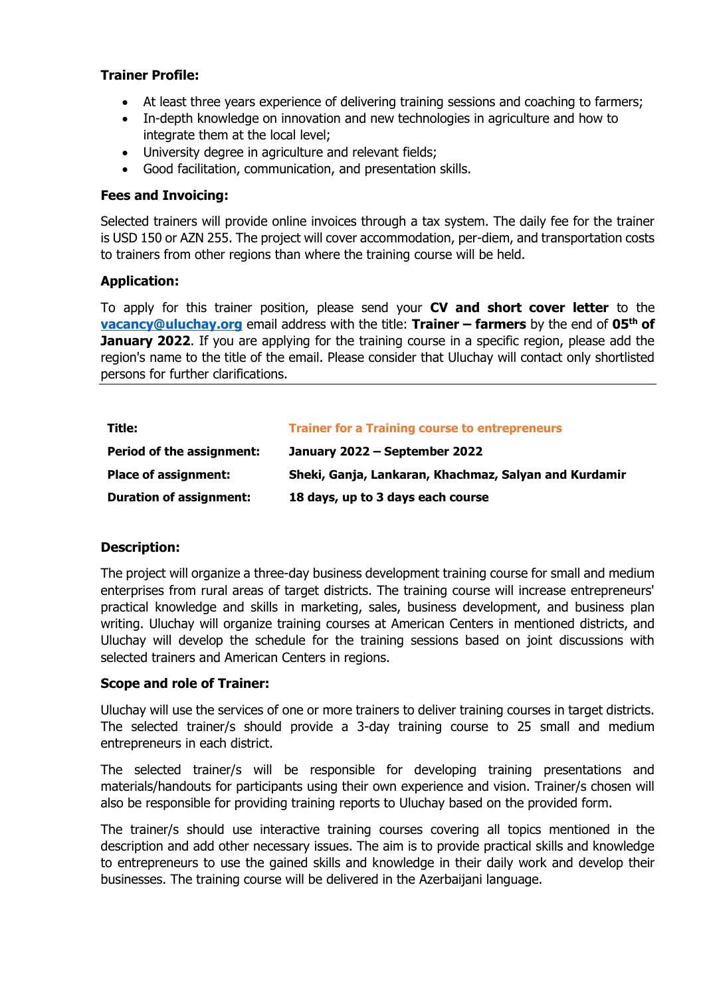- At least three years experience of delivering training sessions and coaching to farmers;
- In-depth knowledge on innovation and new technologies in agriculture and how to integrate them at the local level;
- University degree in agriculture and relevant fields;
- Good facilitation, communication, and presentation skills.

#### **Fees and Invoicing:**

Selected trainers will provide online invoices through a tax system. The daily fee for the trainer is USD 150 or AZN 255. The project will cover accommodation, per-diem, and transportation costs to trainers from other regions than where the training course will be held.

#### **Application:**

To apply for this trainer position, please send your **CV and short cover letter** to the **[vacancy@uluchay.org](mailto:vacancy@uluchay.org)** email address with the title: **Trainer – farmers** by the end of **05th of January 2022**. If you are applying for the training course in a specific region, please add the region's name to the title of the email. Please consider that Uluchay will contact only shortlisted persons for further clarifications.

| Title:                           | <b>Trainer for a Training course to entrepreneurs</b> |
|----------------------------------|-------------------------------------------------------|
| <b>Period of the assignment:</b> | January 2022 – September 2022                         |
| <b>Place of assignment:</b>      | Sheki, Ganja, Lankaran, Khachmaz, Salyan and Kurdamir |
| <b>Duration of assignment:</b>   | 18 days, up to 3 days each course                     |

## **Description:**

The project will organize a three-day business development training course for small and medium enterprises from rural areas of target districts. The training course will increase entrepreneurs' practical knowledge and skills in marketing, sales, business development, and business plan writing. Uluchay will organize training courses at American Centers in mentioned districts, and Uluchay will develop the schedule for the training sessions based on joint discussions with selected trainers and American Centers in regions.

#### **Scope and role of Trainer:**

Uluchay will use the services of one or more trainers to deliver training courses in target districts. The selected trainer/s should provide a 3-day training course to 25 small and medium entrepreneurs in each district.

The selected trainer/s will be responsible for developing training presentations and materials/handouts for participants using their own experience and vision. Trainer/s chosen will also be responsible for providing training reports to Uluchay based on the provided form.

The trainer/s should use interactive training courses covering all topics mentioned in the description and add other necessary issues. The aim is to provide practical skills and knowledge to entrepreneurs to use the gained skills and knowledge in their daily work and develop their businesses. The training course will be delivered in the Azerbaijani language.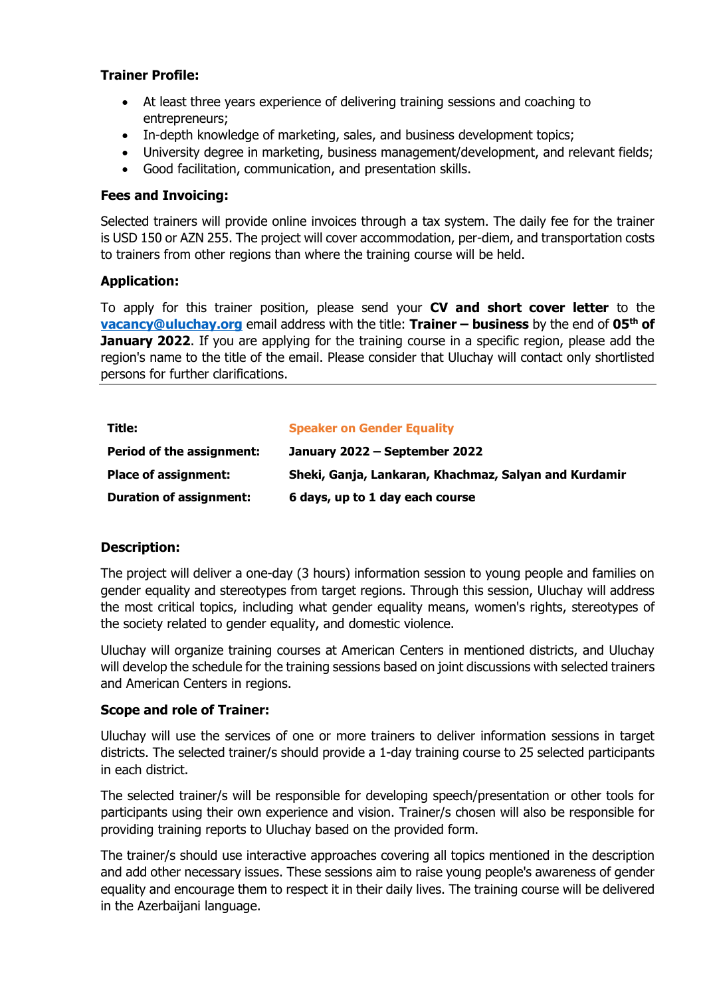- At least three years experience of delivering training sessions and coaching to entrepreneurs;
- In-depth knowledge of marketing, sales, and business development topics;
- University degree in marketing, business management/development, and relevant fields;
- Good facilitation, communication, and presentation skills.

#### **Fees and Invoicing:**

Selected trainers will provide online invoices through a tax system. The daily fee for the trainer is USD 150 or AZN 255. The project will cover accommodation, per-diem, and transportation costs to trainers from other regions than where the training course will be held.

#### **Application:**

To apply for this trainer position, please send your **CV and short cover letter** to the **[vacancy@uluchay.org](mailto:vacancy@uluchay.org)** email address with the title: **Trainer – business** by the end of **05th of January 2022**. If you are applying for the training course in a specific region, please add the region's name to the title of the email. Please consider that Uluchay will contact only shortlisted persons for further clarifications.

| Title:                           | <b>Speaker on Gender Equality</b>                     |
|----------------------------------|-------------------------------------------------------|
| <b>Period of the assignment:</b> | January 2022 – September 2022                         |
| <b>Place of assignment:</b>      | Sheki, Ganja, Lankaran, Khachmaz, Salyan and Kurdamir |
| <b>Duration of assignment:</b>   | 6 days, up to 1 day each course                       |

## **Description:**

The project will deliver a one-day (3 hours) information session to young people and families on gender equality and stereotypes from target regions. Through this session, Uluchay will address the most critical topics, including what gender equality means, women's rights, stereotypes of the society related to gender equality, and domestic violence.

Uluchay will organize training courses at American Centers in mentioned districts, and Uluchay will develop the schedule for the training sessions based on joint discussions with selected trainers and American Centers in regions.

#### **Scope and role of Trainer:**

Uluchay will use the services of one or more trainers to deliver information sessions in target districts. The selected trainer/s should provide a 1-day training course to 25 selected participants in each district.

The selected trainer/s will be responsible for developing speech/presentation or other tools for participants using their own experience and vision. Trainer/s chosen will also be responsible for providing training reports to Uluchay based on the provided form.

The trainer/s should use interactive approaches covering all topics mentioned in the description and add other necessary issues. These sessions aim to raise young people's awareness of gender equality and encourage them to respect it in their daily lives. The training course will be delivered in the Azerbaijani language.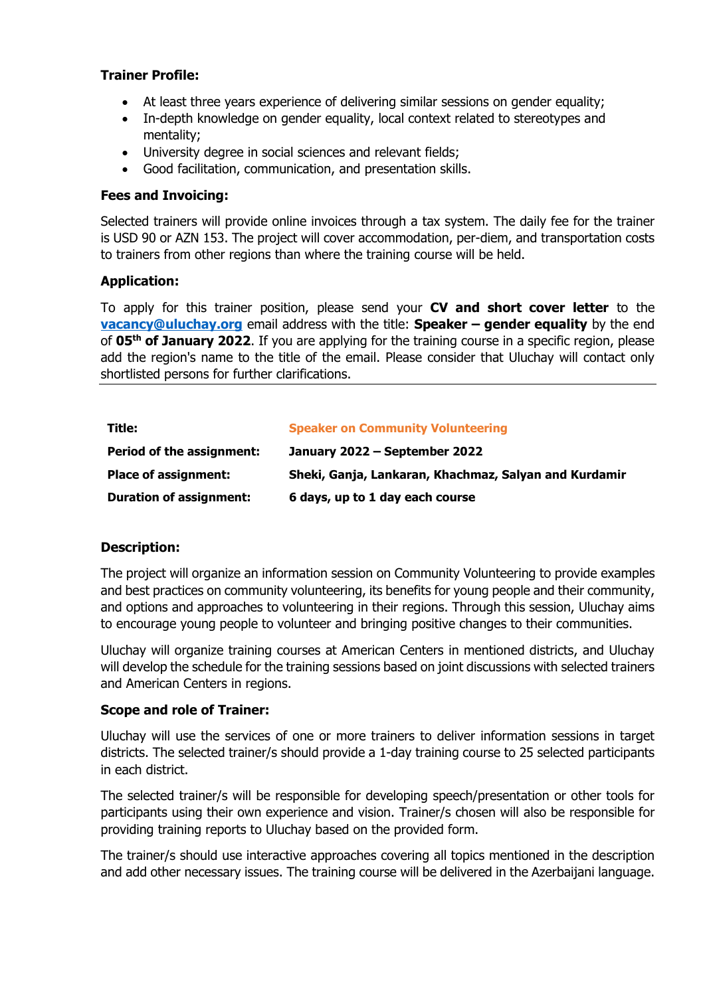- At least three years experience of delivering similar sessions on gender equality;
- In-depth knowledge on gender equality, local context related to stereotypes and mentality;
- University degree in social sciences and relevant fields;
- Good facilitation, communication, and presentation skills.

#### **Fees and Invoicing:**

Selected trainers will provide online invoices through a tax system. The daily fee for the trainer is USD 90 or AZN 153. The project will cover accommodation, per-diem, and transportation costs to trainers from other regions than where the training course will be held.

#### **Application:**

To apply for this trainer position, please send your **CV and short cover letter** to the **[vacancy@uluchay.org](mailto:vacancy@uluchay.org)** email address with the title: **Speaker – gender equality** by the end of **05th of January 2022**. If you are applying for the training course in a specific region, please add the region's name to the title of the email. Please consider that Uluchay will contact only shortlisted persons for further clarifications.

| Title:                           | <b>Speaker on Community Volunteering</b>              |
|----------------------------------|-------------------------------------------------------|
| <b>Period of the assignment:</b> | January 2022 - September 2022                         |
| <b>Place of assignment:</b>      | Sheki, Ganja, Lankaran, Khachmaz, Salyan and Kurdamir |
| <b>Duration of assignment:</b>   | 6 days, up to 1 day each course                       |

## **Description:**

The project will organize an information session on Community Volunteering to provide examples and best practices on community volunteering, its benefits for young people and their community, and options and approaches to volunteering in their regions. Through this session, Uluchay aims to encourage young people to volunteer and bringing positive changes to their communities.

Uluchay will organize training courses at American Centers in mentioned districts, and Uluchay will develop the schedule for the training sessions based on joint discussions with selected trainers and American Centers in regions.

#### **Scope and role of Trainer:**

Uluchay will use the services of one or more trainers to deliver information sessions in target districts. The selected trainer/s should provide a 1-day training course to 25 selected participants in each district.

The selected trainer/s will be responsible for developing speech/presentation or other tools for participants using their own experience and vision. Trainer/s chosen will also be responsible for providing training reports to Uluchay based on the provided form.

The trainer/s should use interactive approaches covering all topics mentioned in the description and add other necessary issues. The training course will be delivered in the Azerbaijani language.